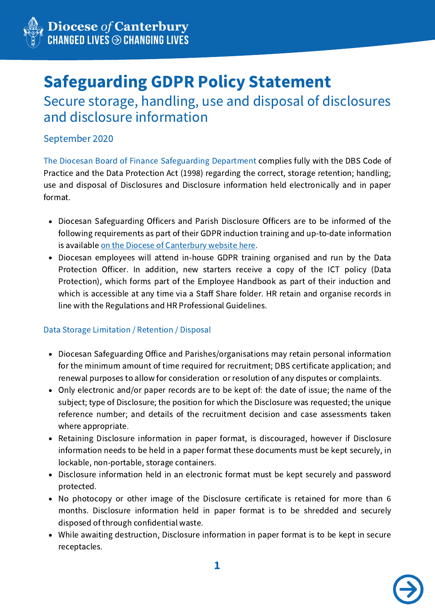

# Safeguarding GDPR Policy Statement

Secure storage, handling, use and disposal of disclosures and disclosure information

September 2020

The Diocesan Board of Finance Safeguarding Department complies fully with the DBS Code of Practice and the Data Protection Act (1998) regarding the correct, storage retention; handling; use and disposal of Disclosures and Disclosure information held electronically and in paper format.

- Diocesan Safeguarding Officers and Parish Disclosure Officers are to be informed of the following requirements as part of their GDPR induction training and up-to-date information is available on the Diocese of [Canterbury](https://www.canterburydiocese.org/safeguarding/safeguarding-training/parish-disclosure-officers/) website here.
- Diocesan employees will attend in-house GDPR training organised and run by the Data Protection Officer. In addition, new starters receive a copy of the ICT policy (Data Protection), which forms part of the Employee Handbook as part of their induction and which is accessible at any time via a Staff Share folder. HR retain and organise records in line with the Regulations and HR Professional Guidelines.

## Data Storage Limitation / Retention / Disposal

- Diocesan Safeguarding Office and Parishes/organisations may retain personal information for the minimum amount of time required for recruitment; DBS certificate application; and renewal purposes to allow for consideration or resolution of any disputes or complaints.
- Only electronic and/or paper records are to be kept of: the date of issue; the name of the subject; type of Disclosure; the position for which the Disclosure was requested; the unique reference number; and details of the recruitment decision and case assessments taken where appropriate.
- Retaining Disclosure information in paper format, is discouraged, however if Disclosure information needs to be held in a paper format these documents must be kept securely, in lockable, non-portable, storage containers.
- Disclosure information held in an electronic format must be kept securely and password protected.
- No photocopy or other image of the Disclosure certificate is retained for more than 6 months. Disclosure information held in paper format is to be shredded and securely disposed of through confidential waste.
- While awaiting destruction, Disclosure information in paper format is to be kept in secure receptacles.